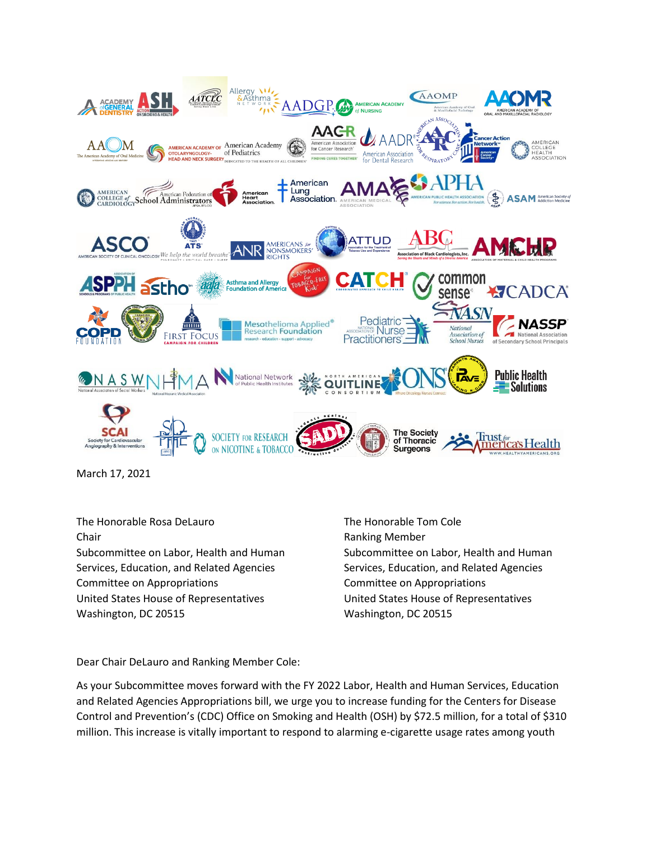

March 17, 2021

The Honorable Rosa DeLauro The Honorable Tom Cole Chair **Chair Chair Chair Chair Chair Chair Chair Chair Chair Chair Chair Chair Chair Chair Chair Chair Chair Chair Chair Chair Chair Chair Chair Chair Chair Chair Chair** Subcommittee on Labor, Health and Human Subcommittee on Labor, Health and Human Services, Education, and Related Agencies Services, Education, and Related Agencies Committee on Appropriations Committee on Appropriations United States House of Representatives United States House of Representatives Washington, DC 20515 Washington, DC 20515

Dear Chair DeLauro and Ranking Member Cole:

As your Subcommittee moves forward with the FY 2022 Labor, Health and Human Services, Education and Related Agencies Appropriations bill, we urge you to increase funding for the Centers for Disease Control and Prevention's (CDC) Office on Smoking and Health (OSH) by \$72.5 million, for a total of \$310 million. This increase is vitally important to respond to alarming e-cigarette usage rates among youth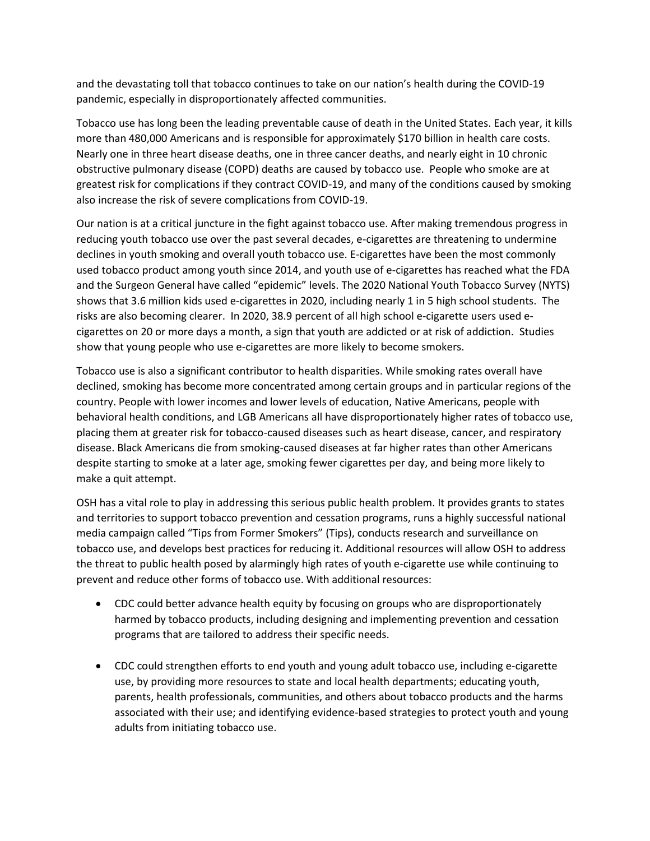and the devastating toll that tobacco continues to take on our nation's health during the COVID-19 pandemic, especially in disproportionately affected communities.

Tobacco use has long been the leading preventable cause of death in the United States. Each year, it kills more than 480,000 Americans and is responsible for approximately \$170 billion in health care costs. Nearly one in three heart disease deaths, one in three cancer deaths, and nearly eight in 10 chronic obstructive pulmonary disease (COPD) deaths are caused by tobacco use. People who smoke are at greatest risk for complications if they contract COVID-19, and many of the conditions caused by smoking also increase the risk of severe complications from COVID-19.

Our nation is at a critical juncture in the fight against tobacco use. After making tremendous progress in reducing youth tobacco use over the past several decades, e-cigarettes are threatening to undermine declines in youth smoking and overall youth tobacco use. E-cigarettes have been the most commonly used tobacco product among youth since 2014, and youth use of e-cigarettes has reached what the FDA and the Surgeon General have called "epidemic" levels. The 2020 National Youth Tobacco Survey (NYTS) shows that 3.6 million kids used e-cigarettes in 2020, including nearly 1 in 5 high school students. The risks are also becoming clearer. In 2020, 38.9 percent of all high school e-cigarette users used ecigarettes on 20 or more days a month, a sign that youth are addicted or at risk of addiction. Studies show that young people who use e-cigarettes are more likely to become smokers.

Tobacco use is also a significant contributor to health disparities. While smoking rates overall have declined, smoking has become more concentrated among certain groups and in particular regions of the country. People with lower incomes and lower levels of education, Native Americans, people with behavioral health conditions, and LGB Americans all have disproportionately higher rates of tobacco use, placing them at greater risk for tobacco-caused diseases such as heart disease, cancer, and respiratory disease. Black Americans die from smoking-caused diseases at far higher rates than other Americans despite starting to smoke at a later age, smoking fewer cigarettes per day, and being more likely to make a quit attempt.

OSH has a vital role to play in addressing this serious public health problem. It provides grants to states and territories to support tobacco prevention and cessation programs, runs a highly successful national media campaign called "Tips from Former Smokers" (Tips), conducts research and surveillance on tobacco use, and develops best practices for reducing it. Additional resources will allow OSH to address the threat to public health posed by alarmingly high rates of youth e-cigarette use while continuing to prevent and reduce other forms of tobacco use. With additional resources:

- CDC could better advance health equity by focusing on groups who are disproportionately harmed by tobacco products, including designing and implementing prevention and cessation programs that are tailored to address their specific needs.
- CDC could strengthen efforts to end youth and young adult tobacco use, including e-cigarette use, by providing more resources to state and local health departments; educating youth, parents, health professionals, communities, and others about tobacco products and the harms associated with their use; and identifying evidence-based strategies to protect youth and young adults from initiating tobacco use.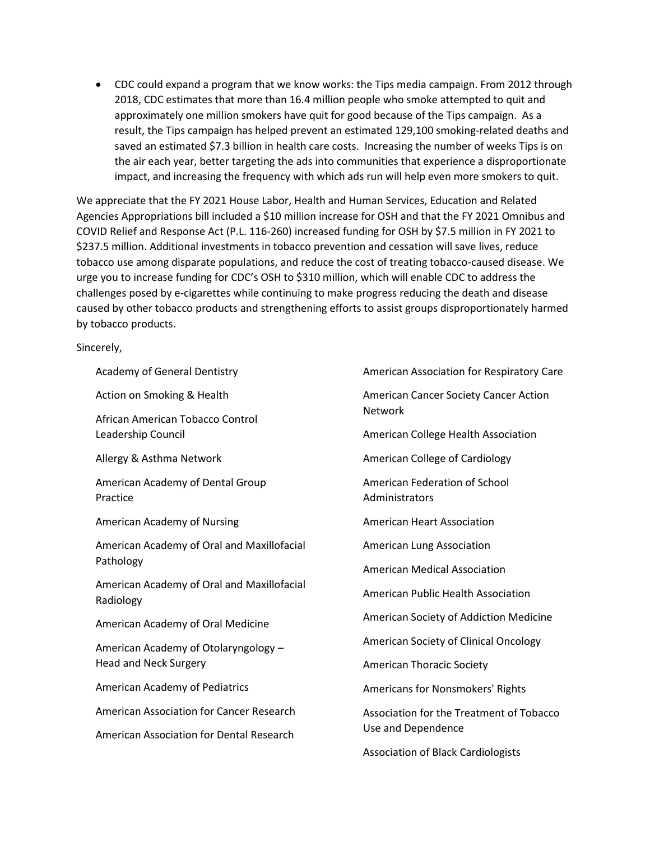• CDC could expand a program that we know works: the Tips media campaign. From 2012 through 2018, CDC estimates that more than 16.4 million people who smoke attempted to quit and approximately one million smokers have quit for good because of the Tips campaign. As a result, the Tips campaign has helped prevent an estimated 129,100 smoking-related deaths and saved an estimated \$7.3 billion in health care costs. Increasing the number of weeks Tips is on the air each year, better targeting the ads into communities that experience a disproportionate impact, and increasing the frequency with which ads run will help even more smokers to quit.

We appreciate that the FY 2021 House Labor, Health and Human Services, Education and Related Agencies Appropriations bill included a \$10 million increase for OSH and that the FY 2021 Omnibus and COVID Relief and Response Act (P.L. 116-260) increased funding for OSH by \$7.5 million in FY 2021 to \$237.5 million. Additional investments in tobacco prevention and cessation will save lives, reduce tobacco use among disparate populations, and reduce the cost of treating tobacco-caused disease. We urge you to increase funding for CDC's OSH to \$310 million, which will enable CDC to address the challenges posed by e-cigarettes while continuing to make progress reducing the death and disease caused by other tobacco products and strengthening efforts to assist groups disproportionately harmed by tobacco products.

## Sincerely,

Academy of General Dentistry

Action on Smoking & Health

African American Tobacco Control Leadership Council

Allergy & Asthma Network

American Academy of Dental Group Practice

American Academy of Nursing

American Academy of Oral and Maxillofacial Pathology

American Academy of Oral and Maxillofacial Radiology

American Academy of Oral Medicine

American Academy of Otolaryngology – Head and Neck Surgery

American Academy of Pediatrics

American Association for Cancer Research

American Association for Dental Research

American Association for Respiratory Care American Cancer Society Cancer Action Network American College Health Association American College of Cardiology American Federation of School Administrators American Heart Association American Lung Association American Medical Association American Public Health Association American Society of Addiction Medicine American Society of Clinical Oncology American Thoracic Society Americans for Nonsmokers' Rights Association for the Treatment of Tobacco Use and Dependence

Association of Black Cardiologists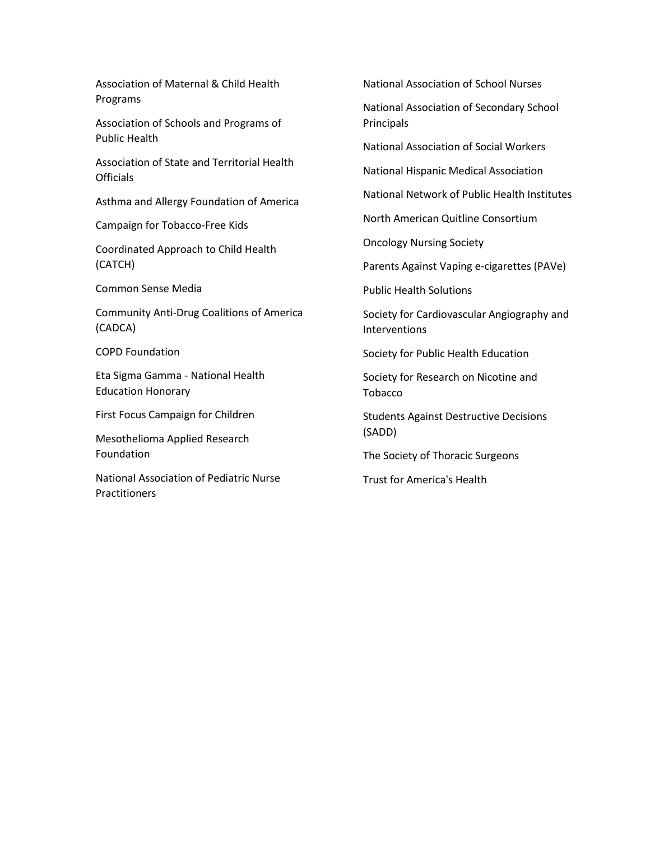Association of Maternal & Child Health Programs

Association of Schools and Programs of Public Health

Association of State and Territorial Health **Officials** 

Asthma and Allergy Foundation of America

Campaign for Tobacco-Free Kids

Coordinated Approach to Child Health (CATCH)

Common Sense Media

Community Anti-Drug Coalitions of America (CADCA)

COPD Foundation

Eta Sigma Gamma - National Health Education Honorary

First Focus Campaign for Children

Mesothelioma Applied Research Foundation

National Association of Pediatric Nurse **Practitioners** 

National Association of School Nurses

National Association of Secondary School Principals

National Association of Social Workers

National Hispanic Medical Association

National Network of Public Health Institutes

North American Quitline Consortium

Oncology Nursing Society

Parents Against Vaping e-cigarettes (PAVe)

Public Health Solutions

Society for Cardiovascular Angiography and Interventions

Society for Public Health Education

Society for Research on Nicotine and Tobacco

Students Against Destructive Decisions (SADD)

The Society of Thoracic Surgeons

Trust for America's Health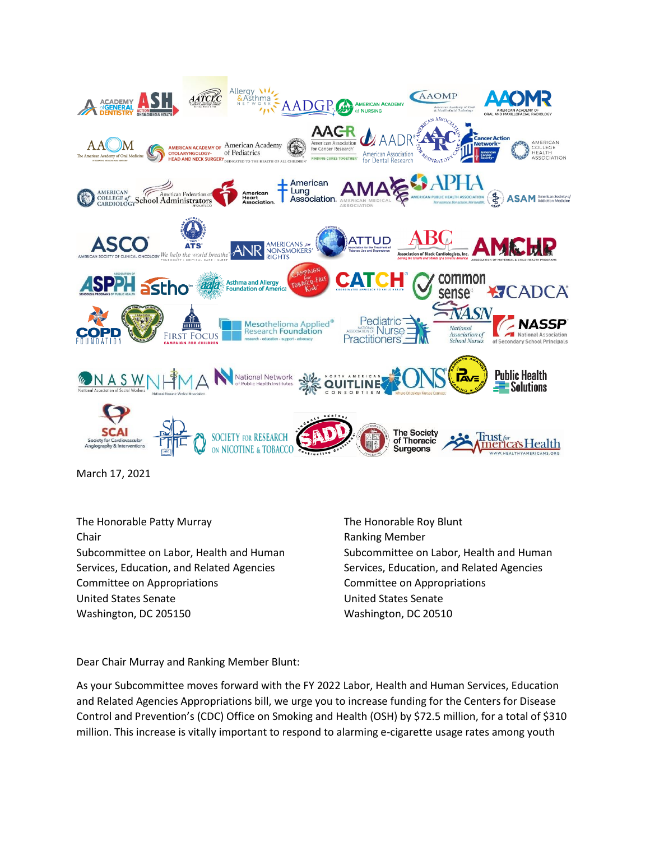

March 17, 2021

The Honorable Patty Murray The Honorable Roy Blunt Chair **Chair Chair Chair Chair Chair Chair Chair Chair Chair Chair Chair Chair Chair Chair Chair Chair Chair Chair Chair Chair Chair Chair Chair Chair Chair Chair Chair** Services, Education, and Related Agencies Services, Education, and Related Agencies Committee on Appropriations Committee on Appropriations United States Senate United States Senate Washington, DC 205150 Washington, DC 20510

Subcommittee on Labor, Health and Human Subcommittee on Labor, Health and Human

Dear Chair Murray and Ranking Member Blunt:

As your Subcommittee moves forward with the FY 2022 Labor, Health and Human Services, Education and Related Agencies Appropriations bill, we urge you to increase funding for the Centers for Disease Control and Prevention's (CDC) Office on Smoking and Health (OSH) by \$72.5 million, for a total of \$310 million. This increase is vitally important to respond to alarming e-cigarette usage rates among youth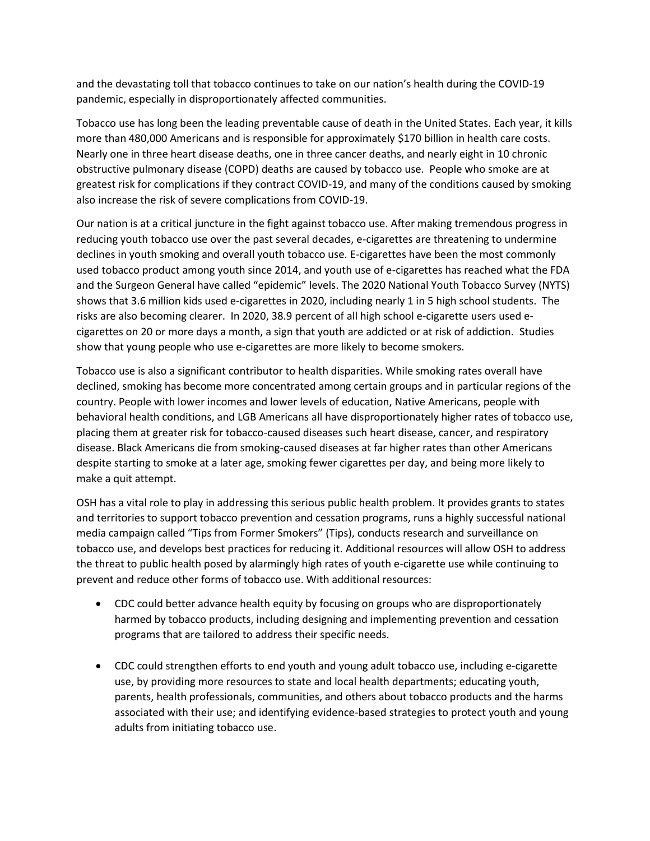and the devastating toll that tobacco continues to take on our nation's health during the COVID-19 pandemic, especially in disproportionately affected communities.

Tobacco use has long been the leading preventable cause of death in the United States. Each year, it kills more than 480,000 Americans and is responsible for approximately \$170 billion in health care costs. Nearly one in three heart disease deaths, one in three cancer deaths, and nearly eight in 10 chronic obstructive pulmonary disease (COPD) deaths are caused by tobacco use. People who smoke are at greatest risk for complications if they contract COVID-19, and many of the conditions caused by smoking also increase the risk of severe complications from COVID-19.

Our nation is at a critical juncture in the fight against tobacco use. After making tremendous progress in reducing youth tobacco use over the past several decades, e-cigarettes are threatening to undermine declines in youth smoking and overall youth tobacco use. E-cigarettes have been the most commonly used tobacco product among youth since 2014, and youth use of e-cigarettes has reached what the FDA and the Surgeon General have called "epidemic" levels. The 2020 National Youth Tobacco Survey (NYTS) shows that 3.6 million kids used e-cigarettes in 2020, including nearly 1 in 5 high school students. The risks are also becoming clearer. In 2020, 38.9 percent of all high school e-cigarette users used ecigarettes on 20 or more days a month, a sign that youth are addicted or at risk of addiction. Studies show that young people who use e-cigarettes are more likely to become smokers.

Tobacco use is also a significant contributor to health disparities. While smoking rates overall have declined, smoking has become more concentrated among certain groups and in particular regions of the country. People with lower incomes and lower levels of education, Native Americans, people with behavioral health conditions, and LGB Americans all have disproportionately higher rates of tobacco use, placing them at greater risk for tobacco-caused diseases such heart disease, cancer, and respiratory disease. Black Americans die from smoking-caused diseases at far higher rates than other Americans despite starting to smoke at a later age, smoking fewer cigarettes per day, and being more likely to make a quit attempt.

OSH has a vital role to play in addressing this serious public health problem. It provides grants to states and territories to support tobacco prevention and cessation programs, runs a highly successful national media campaign called "Tips from Former Smokers" (Tips), conducts research and surveillance on tobacco use, and develops best practices for reducing it. Additional resources will allow OSH to address the threat to public health posed by alarmingly high rates of youth e-cigarette use while continuing to prevent and reduce other forms of tobacco use. With additional resources:

- CDC could better advance health equity by focusing on groups who are disproportionately harmed by tobacco products, including designing and implementing prevention and cessation programs that are tailored to address their specific needs.
- CDC could strengthen efforts to end youth and young adult tobacco use, including e-cigarette use, by providing more resources to state and local health departments; educating youth, parents, health professionals, communities, and others about tobacco products and the harms associated with their use; and identifying evidence-based strategies to protect youth and young adults from initiating tobacco use.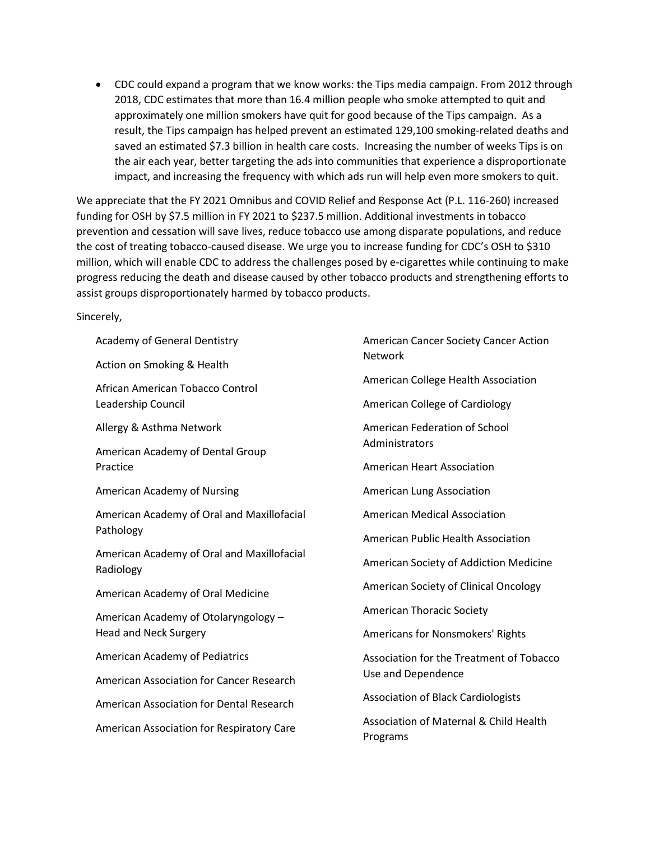• CDC could expand a program that we know works: the Tips media campaign. From 2012 through 2018, CDC estimates that more than 16.4 million people who smoke attempted to quit and approximately one million smokers have quit for good because of the Tips campaign. As a result, the Tips campaign has helped prevent an estimated 129,100 smoking-related deaths and saved an estimated \$7.3 billion in health care costs. Increasing the number of weeks Tips is on the air each year, better targeting the ads into communities that experience a disproportionate impact, and increasing the frequency with which ads run will help even more smokers to quit.

We appreciate that the FY 2021 Omnibus and COVID Relief and Response Act (P.L. 116-260) increased funding for OSH by \$7.5 million in FY 2021 to \$237.5 million. Additional investments in tobacco prevention and cessation will save lives, reduce tobacco use among disparate populations, and reduce the cost of treating tobacco-caused disease. We urge you to increase funding for CDC's OSH to \$310 million, which will enable CDC to address the challenges posed by e-cigarettes while continuing to make progress reducing the death and disease caused by other tobacco products and strengthening efforts to assist groups disproportionately harmed by tobacco products.

Sincerely,

| Academy of General Dentistry                            | American Cancer Society Cancer Action<br><b>Network</b>       |
|---------------------------------------------------------|---------------------------------------------------------------|
| Action on Smoking & Health                              |                                                               |
| African American Tobacco Control                        | American College Health Association                           |
| Leadership Council                                      | <b>American College of Cardiology</b>                         |
| Allergy & Asthma Network                                | American Federation of School                                 |
| American Academy of Dental Group                        | Administrators                                                |
| Practice                                                | <b>American Heart Association</b>                             |
| American Academy of Nursing                             | American Lung Association                                     |
| American Academy of Oral and Maxillofacial              | <b>American Medical Association</b>                           |
| Pathology                                               | American Public Health Association                            |
| American Academy of Oral and Maxillofacial<br>Radiology | American Society of Addiction Medicine                        |
| American Academy of Oral Medicine                       | American Society of Clinical Oncology                         |
| American Academy of Otolaryngology -                    | <b>American Thoracic Society</b>                              |
| <b>Head and Neck Surgery</b>                            | Americans for Nonsmokers' Rights                              |
| American Academy of Pediatrics                          | Association for the Treatment of Tobacco                      |
| American Association for Cancer Research                | Use and Dependence                                            |
| American Association for Dental Research                | <b>Association of Black Cardiologists</b>                     |
| American Association for Respiratory Care               | <b>Association of Maternal &amp; Child Health</b><br>Programs |